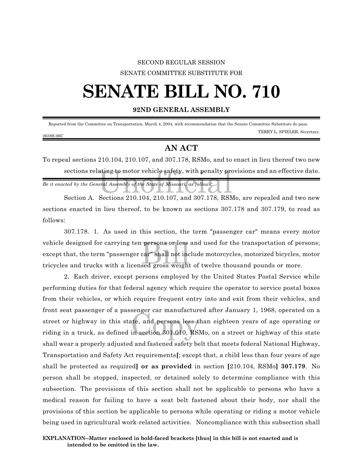## SECOND REGULAR SESSION SENATE COMMITTEE SUBSTITUTE FOR

## **SENATE BILL NO. 710**

## **92ND GENERAL ASSEMBLY**

 Reported from the Committee on Transportation, March 4, 2004, with recommendation that the Senate Committee Substitute do pass. TERRY L. SPIELER, Secretary. 2638S.06C

## **AN ACT**

sections relating to motor vehicle safety, with penalty provisions and an effective date.<br>
section the General Assembly of the State of Missouri, as follows:<br>
Section A. Sections 210, 104, 210, 107, and 207, 178, PSMe, are To repeal sections 210.104, 210.107, and 307.178, RSMo, and to enact in lieu thereof two new

*Be it enacted by the General Assembly of the State of Missouri, as follows:*

Section A. Sections 210.104, 210.107, and 307.178, RSMo, are repealed and two new sections enacted in lieu thereof, to be known as sections 307.178 and 307.179, to read as follows:

persons or less<br>car" shall not inc<br>sed gross weight 307.178. 1. As used in this section, the term "passenger car" means every motor vehicle designed for carrying ten persons or less and used for the transportation of persons; except that, the term "passenger car" shall not include motorcycles, motorized bicycles, motor tricycles and trucks with a licensed gross weight of twelve thousand pounds or more.

the senger car manufacture<br>te, and persons less t<br>in section 301.010, RSI 2. Each driver, except persons employed by the United States Postal Service while performing duties for that federal agency which require the operator to service postal boxes from their vehicles, or which require frequent entry into and exit from their vehicles, and front seat passenger of a passenger car manufactured after January 1, 1968, operated on a street or highway in this state, and persons less than eighteen years of age operating or riding in a truck, as defined in section 301.010, RSMo, on a street or highway of this state shall wear a properly adjusted and fastened safety belt that meets federal National Highway, Transportation and Safety Act requirements**[**; except that, a child less than four years of age shall be protected as required**] or as provided** in section **[**210.104, RSMo**] 307.179**. No person shall be stopped, inspected, or detained solely to determine compliance with this subsection. The provisions of this section shall not be applicable to persons who have a medical reason for failing to have a seat belt fastened about their body, nor shall the provisions of this section be applicable to persons while operating or riding a motor vehicle being used in agricultural work-related activities. Noncompliance with this subsection shall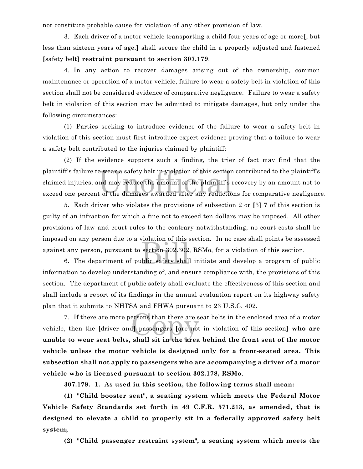not constitute probable cause for violation of any other provision of law.

3. Each driver of a motor vehicle transporting a child four years of age or more**[**, but less than sixteen years of age,**]** shall secure the child in a properly adjusted and fastened **[**safety belt**] restraint pursuant to section 307.179**.

4. In any action to recover damages arising out of the ownership, common maintenance or operation of a motor vehicle, failure to wear a safety belt in violation of this section shall not be considered evidence of comparative negligence. Failure to wear a safety belt in violation of this section may be admitted to mitigate damages, but only under the following circumstances:

(1) Parties seeking to introduce evidence of the failure to wear a safety belt in violation of this section must first introduce expert evidence proving that a failure to wear a safety belt contributed to the injuries claimed by plaintiff;

o wear a safety belt in violation of this section<br>nd may reduce the amount of the plaintiff's<br>t of the damages awarded after any reductio (2) If the evidence supports such a finding, the trier of fact may find that the plaintiff's failure to wear a safety belt in violation of this section contributed to the plaintiff's claimed injuries, and may reduce the amount of the plaintiff's recovery by an amount not to exceed one percent of the damages awarded after any reductions for comparative negligence.

section 302.302.<br>blic safety shall 5. Each driver who violates the provisions of subsection 2 or **[**3**] 7** of this section is guilty of an infraction for which a fine not to exceed ten dollars may be imposed. All other provisions of law and court rules to the contrary notwithstanding, no court costs shall be imposed on any person due to a violation of this section. In no case shall points be assessed against any person, pursuant to section 302.302, RSMo, for a violation of this section.

6. The department of public safety shall initiate and develop a program of public information to develop understanding of, and ensure compliance with, the provisions of this section. The department of public safety shall evaluate the effectiveness of this section and shall include a report of its findings in the annual evaluation report on its highway safety plan that it submits to NHTSA and FHWA pursuant to 23 U.S.C. 402.

ersons than there are s<br>d] passengers [are not<br>shall sit in the area 7. If there are more persons than there are seat belts in the enclosed area of a motor vehicle, then the **[**driver and**]** passengers **[**are not in violation of this section**] who are unable to wear seat belts, shall sit in the area behind the front seat of the motor vehicle unless the motor vehicle is designed only for a front-seated area. This subsection shall not apply to passengers who are accompanying a driver of a motor vehicle who is licensed pursuant to section 302.178, RSMo**.

**307.179. 1. As used in this section, the following terms shall mean:**

**(1) "Child booster seat", a seating system which meets the Federal Motor Vehicle Safety Standards set forth in 49 C.F.R. 571.213, as amended, that is designed to elevate a child to properly sit in a federally approved safety belt system;**

**(2) "Child passenger restraint system", a seating system which meets the**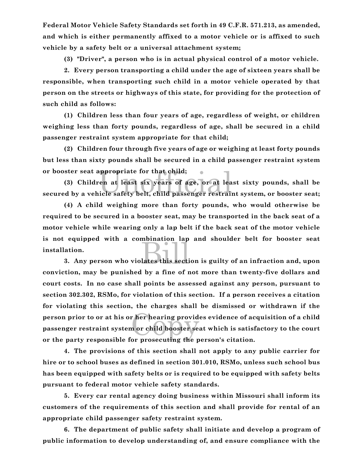**Federal Motor Vehicle Safety Standards set forth in 49 C.F.R. 571.213, as amended, and which is either permanently affixed to a motor vehicle or is affixed to such vehicle by a safety belt or a universal attachment system;**

**(3) "Driver", a person who is in actual physical control of a motor vehicle.**

**2. Every person transporting a child under the age of sixteen years shall be responsible, when transporting such child in a motor vehicle operated by that person on the streets or highways of this state, for providing for the protection of such child as follows:**

**(1) Children less than four years of age, regardless of weight, or children weighing less than forty pounds, regardless of age, shall be secured in a child passenger restraint system appropriate for that child;**

**(2) Children four through five years of age or weighing at least forty pounds but less than sixty pounds shall be secured in a child passenger restraint system or booster seat appropriate for that child;**

rppropriate for that child;<br>ren at least six years of age, or at lea<br>icle safety belt, child passenger restrai **(3) Children at least six years of age, or at least sixty pounds, shall be secured by a vehicle safety belt, child passenger restraint system, or booster seat;**

and the section of the section of the section of the section of the section of the section of the section of the section of the section of the section of the section of the section of the section of the section of the sect **(4) A child weighing more than forty pounds, who would otherwise be required to be secured in a booster seat, may be transported in the back seat of a motor vehicle while wearing only a lap belt if the back seat of the motor vehicle is not equipped with a combination lap and shoulder belt for booster seat installation.**

r her hearing provid<br>n or child booster sea<br>or prosecuting the p **3. Any person who violates this section is guilty of an infraction and, upon conviction, may be punished by a fine of not more than twenty-five dollars and court costs. In no case shall points be assessed against any person, pursuant to section 302.302, RSMo, for violation of this section. If a person receives a citation for violating this section, the charges shall be dismissed or withdrawn if the person prior to or at his or her hearing provides evidence of acquisition of a child passenger restraint system or child booster seat which is satisfactory to the court or the party responsible for prosecuting the person's citation.**

**4. The provisions of this section shall not apply to any public carrier for hire or to school buses as defined in section 301.010, RSMo, unless such school bus has been equipped with safety belts or is required to be equipped with safety belts pursuant to federal motor vehicle safety standards.**

**5. Every car rental agency doing business within Missouri shall inform its customers of the requirements of this section and shall provide for rental of an appropriate child passenger safety restraint system.**

**6. The department of public safety shall initiate and develop a program of public information to develop understanding of, and ensure compliance with the**